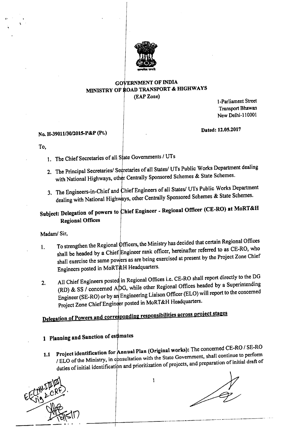

### GOVERNMENT OF INDIA MINISTRY OF ROAD TRANSPORT & HIGHWAYS (EAP Zone)

1-Parliament Street Transport Bhawan NewDelhi-l10001

### No. H-39011/30/2015-P&P (Pt.)

Dated: 12.05.2017

To,

I'

- 1. The Chief Secretaries of all State Governments / UTs
- 2. The Principal Secretaries/ Secretaries of all States/ UTs Public Works Department dealing with National Highways, other Centrally Sponsored Schemes & State Schemes.
- 3. The Engineers-in-Chief and Chief Engineers of all States/ UTs Public Works Department dealing with National Highways, other Centrally Sponsored Schemes & State Schemes.

# Subject: Delegation of powers to Chief Engineer - Regional Officer (CE-RO) at MoRT&H Regional Offices

Madam/ Sir,

- 1. To strengthen the Regional Officers, the Ministry has decided that certain Regional Offices shall be headed by a Chief Engineer rank officer, hereinafter referred to as CE-RO, who shall exercise the same powers as are being exercised at present by the Project Zone Chief Engineers posted in MoRT&H Headquarters.
- 2. All Chief Engineers posted in Regional Offices i.e. CE-RO shall report directly to the DG (RD) & SS / concerned ADG, while other Regional Offices headed by a Superintending Engineer (SE-RO) or by an Engineering Liaison Officer (ELO) will report to the concerned Project Zone Chief Engineer posted in MoRT&H Headquarters.

# Delegation of Powers and corresponding responsibilities across project stages

# 1 Planning and Sanction of estimates

1.1 Project identification for  $A$ nnual Plan (Original works): The concerned CE-RO / SE-RO / ELO of the Ministry, in consultation with the State Government, shall continue to perform duties of initial identification and prioritization of projects, and preparation of initial draft of



 $\mathbf{1}$ 

----+---------------------------------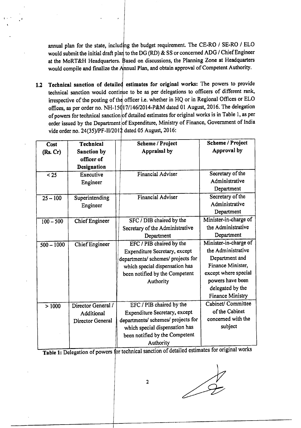annual plan for the state, including the budget requirement. The CE-RO / SE-RO / ELO would submit the initial draft plar to the DG (RD) & SS or concerned ADG / Chief Engineer at the MoRT&H Headquarters. Based on discussions, the Planning Zone at Headquarters would compile and finalize the Annual Plan, and obtain approval of Competent Authority.

1.2 Technical sanction of detailed estimates for original works: The powers to provide technical sanction would continue to be as per delegations to officers of different rank, irrespective of the posting of the officer i.e. whether in HQ or in Regional Offices or ELO offices, as per order no. NH-15017/146/2014-P&M dated 01 August, 2016. The delegation of powers for technical sanction of detailed estimates for original works is in Table 1, as per order issued by the Department of Expenditure, Ministry of Finance, Government of India vide order no. 24(35)/PF-II/2012 dated 05 August, 2016:

| Cost               | <b>Technical</b>      | Scheme / Project                   | <b>Scheme / Project</b> |
|--------------------|-----------------------|------------------------------------|-------------------------|
| (Rs, Cr)           | Sanction by           | Appraisal by                       | Approval by             |
|                    | officer of            |                                    |                         |
|                    | Designation           |                                    |                         |
| $25$               | Executive             | <b>Financial Adviser</b>           | Secretary of the        |
|                    | Engineer              |                                    | Administrative          |
|                    |                       |                                    | Department              |
| $25 - 100$         | Superintending        | <b>Financial Adviser</b>           | Secretary of the        |
|                    | Engineer              |                                    | Administrative          |
|                    |                       |                                    | Department              |
| $100 - 500$        | <b>Chief Engineer</b> | SFC / DIB chaired by the           | Minister-in-charge of   |
|                    |                       | Secretary of the Administrative    | the Administrative      |
|                    |                       | Department                         | Department              |
| $500 - 1000$       | Chief Engineer        | EFC / PIB chaired by the           | Minister-in-charge of   |
|                    |                       | Expenditure Secretary, except      | the Administrative      |
|                    |                       | departments/ schemes/ projects for | Department and          |
|                    |                       | which special dispensation has     | Finance Minister,       |
|                    |                       | been notified by the Competent     | except where special    |
|                    |                       | Authority                          | powers have been        |
|                    |                       |                                    | delegated by the        |
|                    |                       |                                    | <b>Finance Ministry</b> |
| $\overline{>}1000$ | Director General /    | EFC / PIB chaired by the           | Cabinet/ Committee      |
|                    | Additional            | Expenditure Secretary, except      | of the Cabinet          |
|                    | Director General      | departments/ schemes/ projects for | concerned with the      |
|                    |                       | which special dispensation has     | subject                 |
|                    |                       | been notified by the Competent     |                         |
|                    |                       | Authority                          | −.                      |

Table 1: Delegation of powers for technical sanction of detailed estimates for original works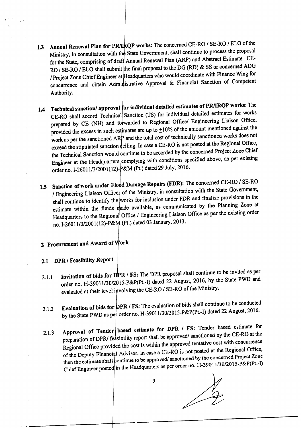- 1.3 Annual Renewal Plan for PR/IRQP works: The concerned CE-RO / SE-RO / ELO of the Ministry, in consultation with the State Government, shall continue to process the proposal for the State, comprising of draft Annual Renewal Plan (ARP) and Abstract Estimate. CE-RO / SE-RO / ELO shall submit the final proposal to the DG (RD) & SS or concerned ADG / Project Zone Chief Engineer at Headquarters who would coordinate with Finance Wing for concurrence and obtain Administrative Approval & Financial Sanction of Competent Authority.
- 1.4 Technical sanction/ approval for individual detailed estimates of PR/IRQP works: The CE-RO shall accord Technical Sanction (TS) for individual detailed estimates for works prepared by CE (NH) and forwarded to Regional Office/ Engineering Liaison Office, provided the excess in such estimates are up to  $\pm 10$ % of the amount mentioned against the work as per the sanctioned ARP and the total cost of technically sanctioned works does not exceed the stipulated sanction  $\phi$ eiling. In case a CE-RO is not posted at the Regional Office, the Technical Sanction would continue to be accorded by the concerned Project Zone Chief Engineer at the Headquarters complying with conditions specified above, as per existing order no. *1-26011/3/2001(12)-* &M (Pt.) dated 29 July, 2016.
- 1.5 Sanction of work under Flood Damage Repairs (FDR): The concerned CE-RO / SE-RO / Engineering Liaison Officer of the Ministry, in consultation with the State Government, shall continue to identify the works for inclusion under FDR and finalize provisions in the estimate within the funds made available, as communicated by the Planning Zone at Headquarters to the Regiona<sup>d</sup> Office / Engineering Liaison Office as per the existing order no. I-26011/3/2001(12)-P&M (Pt.) dated 03 January, 2013.

# 2 Procurement and Award of Work

# 2.1 DPR / Feasibility Report

- 2.1.1 Invitation of bids for DPR / FS: The DPR proposal shall continue to be invited as per order no. H-39011/30/2015-P&P(Pt.-I) dated 22 August, 2016, by the State PWD and evaluated at their level involving the CE-RO / SE-RO of the Ministry.
- 2.1.2 Evaluation of bids for DPR / FS: The evaluation of bids shall continue to be conducted<br>12.1.2 Evaluation of bids for DPR / FS: The evaluation of bids shall continue to be conducted by the State PWD as per order no. H-39011/30/2015-P&P(Pt.-I) dated 22 August, 2016.
- 2.1.3 Approval of Tender based estimate for DPR / FS: Tender based estimate for preparation of DPR/ feasibility report shall be approved/ sanctioned by the CE-RO at the Regional Office provided the cost is within the approved tentative cost with concurrence of the Deputy Financial Advisor. In case a CE-RO is not posted at the Regional Office, then the estimate shall continue to be approved/sanctioned by the concerned Project Zone Chief Engineer posted in the Headquarters as per order no. H-39011/30/2015-P&P(Pt.-I)

3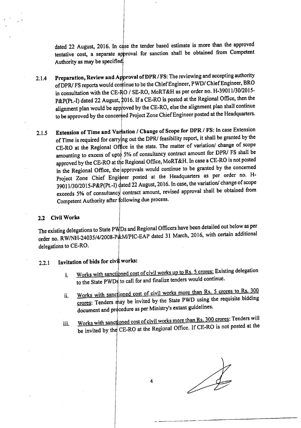dated 22 August, 2016. In case the tender based estimate is more than the approved tentative cost, a separate approval for sanction shall be obtained from Competent Authority as may be specified

- 2.1.4 Preparation, Review and Approval of DPR / FS: The reviewing and accepting authority of DPR/ FS reports would continue to be the Chief Engineer, *PWD/ Chief Engineer*, BRO in consultation with the CE-RO / SE-RO, MoRT&H as per order no. H-39011/30/2015-P&P(Pt.-I) dated 22 August, 2016. If a CE-RO is posted at the Regional Office, then the alignment plan would be approved by the CE-RO, else the alignment plan shall continue to be approved by the concerned Project Zone Chief Engineer posted at the Headquarters.
- 2.1.5 Extension of Time and Variation / Change of Scope for DPR / FS: In case Extension of Time is required for carry ng out the DPR/ feasibility report, it shall be granted by the CE-RO at the Regional Office in the state. The matter of variation/ change of scope amounting to excess of upto 5% of consultancy contract amount for DPR/ FS shall be approved by the CE-RO at the Regional Office, MoRT&H. In case a CE-RO is not posted in the Regional Office, the approvals would continue to be granted by the concerned Project Zone Chief Engineer posted at the Headquarters as per order no. H-39011/30/2015-P&P(Pt.-I) dated 22 August, 2016. In case, the variation/ change of scope exceeds 5% of consultancy contract amount, revised approval shall be obtained from Competent Authority after following due process.

#### 2.2 Civil Works

The existing delegations to State PWDs and Regional Officers have been detailed out below as per order no. RW/NH-24035/4/2008-P&M/PIC-EAP dated 31 March, 2016, with certain additional delegations to CE-RO.

### $2.2.1$  Invitation of bids for civil works:

- i. Works with sanctioned cost of civil works up to Rs. 5 crores: Existing delegation to the State PWDs to call for and finalize tenders would continue.
- ii. Works with sanctioned cost of civil works more than Rs. 5 crores to Rs.  $300$ crores: Tenders may be invited by the State PWD using the requisite bidding document and procedure as per Ministry's extant guidelines.
- iii. Works with sanctioned cost of civil works more than Rs. 300 crores: Tenders will be invited by the CE-RO at the Regional Office. If CE-RO is not posted at the

----------------------------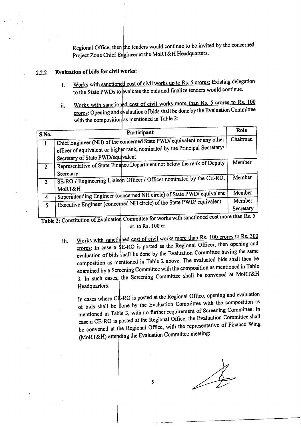Regional Office, then the tenders would continue to be invited by the concerned Project Zone Chief Engineer at the MoRT&H Headquarters.

### 2.2.2 Evaluation of bids for civil works:

- i. Works with sanctioned cost of civil works up to Rs. 5 crores: Existing delegation to the State PWDs to evaluate the bids and finalize tenders would continue.
- ii. Works with sanctioned cost of civil works more than Rs. 5 crores to Rs. 100 crores: Opening and evaluation of bids shall be done by the Evaluation Committee with the composition as mentioned in Table 2:

| S.No.          | Participant                                                                                                                                            | Role                                                                          |
|----------------|--------------------------------------------------------------------------------------------------------------------------------------------------------|-------------------------------------------------------------------------------|
|                | Chief Engineer (NH) of the doncerned State PWD/ equivalent or any other<br>officer of equivalent or higher rank, nominated by the Principal Secretary/ | Chairman                                                                      |
|                | Secretary of State PWD/equivalent                                                                                                                      |                                                                               |
| 2 <sup>1</sup> | Representative of State Finance Department not below the rank of Deputy                                                                                | Member                                                                        |
| $\overline{3}$ | Secretary<br>SE-RO / Engineering Liaison Officer / Officer nominated by the CE-RO,                                                                     | Member                                                                        |
|                | MoRT&H<br>Superintending Engineer (concerned NH circle) of State PWD/ equivalent                                                                       | Member                                                                        |
| 4              |                                                                                                                                                        | Member                                                                        |
| $\mathsf{s}$   | Executive Engineer (concerned NH circle) of the State PWD/ equivalent                                                                                  | Secretary<br>$\mathbf{a}$ $\mathbf{b}$ $\mathbf{c}$ $\mathbf{b}$ $\mathbf{c}$ |

Table 2: Constitution of Evaluation Committee for works with sanctioned cost more than Rs. 5 cr. to Rs. 100 cr.

iii. Works with sanctioned cost of civil works more than Rs. 100 crores to Rs. 300 crores: In case a  $E-RO$  is posted as the Regional Officer, then opening and evaluation of bids shall be done by the Evaluation Committee having the same composition as mentioned in Table 2 above. The evaluated bids shall then be examined by a Screening Committee with the composition as mentioned in Table 3. In such cases, the Screening Committee shall be convened at MoRT&H Headquarters.

In cases where  $C\sharp$ -RO is posted at the Regional Office, opening and evaluation of bids shall be done by the Evaluation Committee with the composition as mentioned in Table 3, with no further requirement of Screening Committee. In case a CE-RO is posted at the Regional Office, the Evaluation Committee shall be convened at the Regional Office, with the representative of Finance Wing (MoRT&H) attending the Evaluation Committee meeting:

\_. -\_.\_-\_.\_-----------------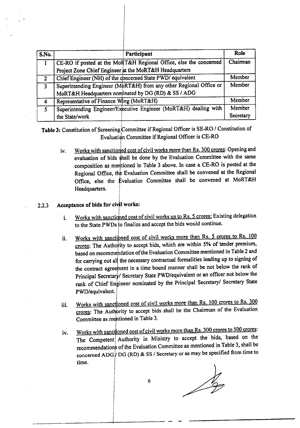| S.No.          | Participant                                                        | Role      |
|----------------|--------------------------------------------------------------------|-----------|
|                | CE-RO if posted at the MoRT&H Regional Office, else the concerned  | Chairman  |
|                | Project Zone Chief Engineer at the MoRT&H Headquarters             |           |
| $\overline{2}$ | Chief Engineer (NH) of the concerned State PWD/ equivalent         | Member    |
| $\overline{3}$ | Superintending Engineer (MoRT&H) from any other Regional Office or | Member    |
|                | MoRT&H Headquarters nominated by DG (RD) & SS / ADG                |           |
| 4              | Representative of Finance Wing (MoRT&H)                            | Member    |
| $\overline{5}$ | Superintending Engineer/Executive Engineer (MoRT&H) dealing with   | Member    |
|                | the State/work                                                     | Secretary |

Table 3: Constitution of Screening Committee if Regional Officer is SE-RO / Constitution of Evaluation Committee if Regional Officer is CE-RO

iv. Works with sanctioned cost of civil works more than Rs. 300 crores: Opening and evaluation of bids shall be done by the Evaluation Committee with the same composition as mentioned in Table 3 above. In case a CE-RO is posted at the Regional Office, the Evaluation Committee shall be convened at the Regional Office, else the Evaluation Committee shall be convened at MoRT&H Headquarters.

### 2.2.3 Acceptance of bids for civil works:

- i. Works with sanctioned cost of civil works up to Rs. 5 crores: Existing delegation to the State PWDs to finalize and accept the bids would continue.
- ii. Works with sanctioned cost of civil works more than Rs. 5 crores to Rs. 100 crores: The Authority to accept bids, which are within 5% of tender premium, based on recommendation of the Evaluation Committee mentioned in Table 2 and for carrying out all the necessary contractual formalities leading up to signing of the contract agreement in a time bound manner shall be not below the rank of Principal Secretary/ Secretary State PWD/equivalent or an officer not below the rank of Chief Engineer nominated by the Principal Secretary/ Secretary State PWD/equivalent.
- iii. Works with sanctioned cost of civil works more than Rs. 100 crores to Rs. 300 crores: The Authority to accept bids shall be the Chairman of the Evaluation Committee as mentioned in Table 3.
- iv. Works with sanctioned cost of civil works more than Rs. 300 crores to 500 crores: The Competent Authority in Ministry to accept the bids, based on the recommendations of the Evaluation Committee as mentioned in Table 3, shall be concerned ADG  $\sqrt{DG}$  (RD) & SS / Secretary or as may be specified from time to time.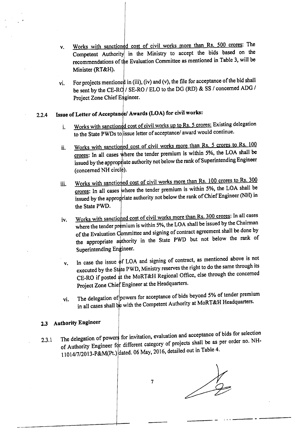- v. Works with sanctioned cost of civil works more than Rs. 500 crores: The Competent Authority in the Ministry to accept the bids based on the recommendations of the Evaluation Committee as mentioned in Table 3, will be Minister (RT&H).
- vi. For projects mentioned in (iii), (iv) and (v), the file for acceptance of the bid shall be sent by the CE-RO / SE-RO / ELO to the DG (RD) & SS / concerned ADG / Project Zone Chief Engineer.

# 2.2.4 Issue of Letter of Acceptance/ Awards (LOA) for civil works:

- i. Works with sanctioned cost of civil works up to Rs. 5 crores: Existing delegation to the State PWDs to issue letter of acceptance/ award would continue.
- ii. Works with sanctioned cost of civil works more than Rs. 5 crores to Rs. 100 crores: In all cases where the tender premium is within 5%, the LOA shall be issued by the appropriate authority not below the rank of Superintending Engineer (concerned NH circle).
- iii. Works with sanctioned cost of civil works more than Rs. 100 crores to Rs. 300 crores: In all cases where the tender premium is within 5%, the LOA shall be issued by the appropriate authority not below the rank of Chief Engineer (NH) in the State PWD.
- iv. Works with sanctioned cost of civil works more than Rs. 300 crores: In all cases where the tender premium is within 5%, the LOA shall be issued by the Chairman of the Evaluation Committee and signing of contract agreement shall be done by the appropriate anthority in the State PWD but not below the rank of Superintending Engineer.
- v. In case the issue  $\phi$ f LOA and signing of contract, as mentioned above is not executed by the State PWD, Ministry reserves the right to do the same through its CE-RO if posted at the MoRT&H Regional Office, else through the concerned Project Zone Chief Engineer at the Headquarters.
- vi. The delegation of powers for acceptance of bids beyond 5% of tender premium in all cases shall be with the Competent Authority at MoRT&H Headquarters.

### 2.3 Authority Engineer

2.3.1 The delegation of powers for invitation, evaluation and acceptance of bids for selection 2.3.1 of Authority Engineer for different category of projects shall be as per order no. NH-11014/7/2013-P&M(Pt.) dated. 06 May, 2016, detailed out in Table 4.

 $\sqrt{\frac{1}{2}}$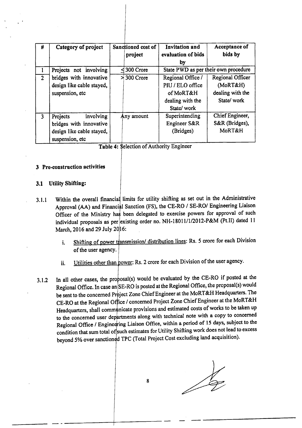| #              | Category of project       | Sanctioned cost of<br>project | <b>Invitation and</b><br>evaluation of bids | Acceptance of<br>bids by             |
|----------------|---------------------------|-------------------------------|---------------------------------------------|--------------------------------------|
|                |                           |                               | by                                          |                                      |
|                | Projects not involving    | 300 Crore                     |                                             | State PWD as per their own procedure |
| 2 <sup>1</sup> | bridges with innovative   | $\ge$ 300 Crore               | Regional Office /                           | Regional Officer                     |
|                | design like cable stayed, |                               | PIU / ELO office                            | (MoRT&H)                             |
|                | suspension, etc           |                               | of MoRT&H                                   | dealing with the                     |
|                |                           |                               | dealing with the                            | State/work                           |
|                |                           |                               | State/work                                  |                                      |
| 3              | involving<br>Projects     | Any amount                    | Superintending                              | Chief Engineer,                      |
|                | bridges with innovative   |                               | Engineer S&R                                | S&R (Bridges),                       |
|                | design like cable stayed, |                               | (Bridges)                                   | MoRT&H                               |
|                | suspension, etc           |                               |                                             |                                      |

Table 4: \$election of Authority Engineer

#### 3 Pre-construction activities

#### 3.1 Utility Shifting:

- 3.1.1 Within the overall financial limits for utility shifting as set out in the Administrative Approval (AA) and Financial Sanction (FS), the CE-RO / SE-RO/ Engineering Liaison Officer of the Ministry has been delegated to exercise powers for approval of such individual proposals as per existing order no. NH-18011/1/2012-P&M (Pt.II) dated 11 March, 2016 and 29 July 20 16:
	- i. Shifting of power transmission/ distribution lines: Rs. 5 crore for each Division of the user agency.
	- ii. Utilities other than power: Rs. 2 crore for each Division of the user agency.
- 3.1.2 In all other cases, the proposal(s) would be evaluated by the CE-RO if posted at the Regional Office. In case an SE-RO is posted at the Regional Office, the proposal(s) would be sent to the concerned Project Zone Chief Engineer at the MoRT&H Headquarters. The CE-RO at the Regional Office / concerned Project Zone Chief Engineer at the MoRT&H Headquarters, shall communicate provisions and estimated costs of works to be taken up to the concerned user departments along with technical note with a copy to concerned Regional Office / Engineering Liaison Office, within a period of 15 days, subject to the condition that sum total of such estimates for Utility Shifting work does not lead to excess beyond 5% over sanctioned TPC (Total Project Cost excluding land acquisition).

*v*

8

- --------+------- - - - -------------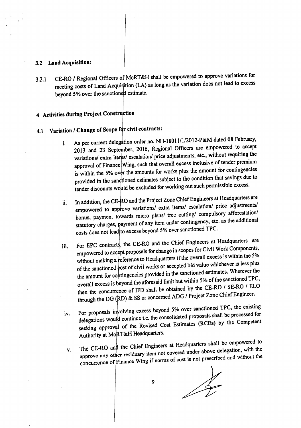#### 3.2 Land Acquisition:

3.2.1 CE-RO / Regional Officers of MoRT&H shall be empowered to approve variations for meeting costs of Land Acquistion (LA) as long as the variation does not lead to excess beyond 5% over the sanctioned estimate.

# 4 Activities during Project Construction

# 4.1 Variation / Change of Scope for civil contracts:

- i. As per current delegation order no. NH-18011/1/2012-P&M dated 08 February, 2013 and 23 September, 2016, Regional Officers are empowered to accept variations/ extra items/ escalation/ price adjustments, etc., without requiring the approval of Finance Wing, such that overall excess inclusive of tender premium is within the 5% over the amounts for works plus the amount for contingencies provided in the sandtioned estimates subject to the condition that savings due to tender discounts would be excluded for working out such permissible excess.
- ii. In addition, the CE-RO and the Project Zone Chief Engineers at Headquarters are empowered to approve variations/ extra items/ escalation/ price adjustments/ bonus, payment towards micro plans/ tree cutting/ compulsory afforestation/ statutory charges, payment of any item under contingency, etc. as the additional costs does not lead to excess beyond 5% over sanctioned TPC.
- iii. For EPC contracts, the CE-RO and the Chief Engineers at Headquarters are empowered to accept proposals for change in scopes for Civil Work Components, without making a reference to Headquarters if the overall excess is within the 5% of the sanctioned cost of civil works or accepted bid value whichever is less plus the amount for contingencies provided in the sanctioned estimates. Wherever the overall excess is beyond the aforesaid limit but within 5% of the sanctioned TPC, then the concurrence of IFD shall be obtained by the CE-RO / SE-RO / ELO through the DG (RD) & SS or concerned ADG / Project Zone Chief Engineer.
- iv. For proposals involving excess beyond 5% over sanctioned TPC, the existing iv. delegations would continue i.e. the consolidated proposals shall be processed for seeking approval of the Revised Cost Estimates (RCEs) by the Competent Authority at MoRT&H Headquarters.
- The CE-RO and the Chief Engineers at Headquarters shall be empowered to approve any other residuary item not covered under above delegation, with the concurrence of Finance Wing if norms of cost is not prescribed and without the v.

 $\frac{1}{2}$ 

9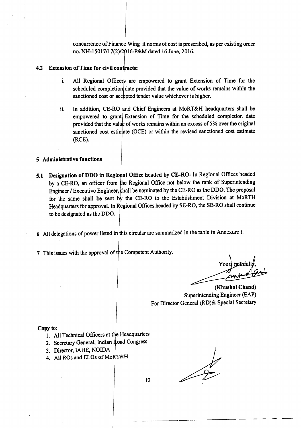concurrence of Finance Wing if norms of cost is prescribed, as per existing order no. NH-15017/17(2)/2016-P&M dated 16 June, 2016.

#### $4.2$  Extension of Time for civil contracts:

- i. All Regional Officers are empowered to grant Extension of Time for the scheduled completion date provided that the value of works remains within the sanctioned cost or accepted tender value whichever is higher.
- ii. In addition, CE-RO and Chief Engineers at MoRT&H headquarters shall be empowered to grant Extension of Time for the scheduled completion date provided that the value of works remains within an excess of 5% over the original sanctioned cost estimate (OCE) or within the revised sanctioned cost estimate (RCE).

#### 5 Administrative functions

- 5.1 Designation of DDO in Regional Office headed by CE-RO: In Regional Offices headed by a CE-RO, an officer from the Regional Office not below the rank of Superintending Engineer / Executive Engineer, shall be nominated by the CE-RO as the DDO. The proposal for the same shall be sent by the CE-RO to the Establishment Division at MoRTH Headquarters for approval. In Regional Offices headed by SE-RO, the SE-RO shall continue to be designated as the DDO.
- 6 All delegations of power listed in this circular are summarized in the table in Annexure I.
- 7 This issues with the approval of the Competent Authority.

Yours faithfull

(Khushal Chand) Superintending Engineer (EAP) For Director General (RD)& Special Secretary

#### Copy to:

- 1. All Technical Officers at the Headquarters
- 2. Secretary General, Indian Road Congress
- 3. Director, IAHE, NOIDA
- 4. All ROs and ELOs of MoRT&H

-.\_- \_-- .\_----------------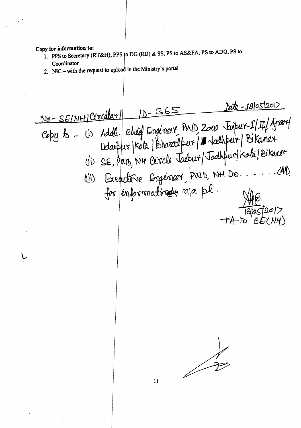Copy for information to:

- 1. PPS to Secretary (RT&H), PPS to DG (RD) & SS, PS to AS&FA, PS to ADG, PS to Coordinator
- 2. NIC with the request to upload in the Ministry's portal

<u> ste - 18/05/2012</u> NO-SEINHICOSCULLAT 10-365 No-SEINH Circular (15-000 Fuit 12/4/0004)<br>Copy to - (i) Addl. Chief Cogeoser PND Zoop Fuit 12/4/4/0004 Executive Esgèriaire, PULD, NH Dr. ..... (A) 仙 for enformatinde na pl. 11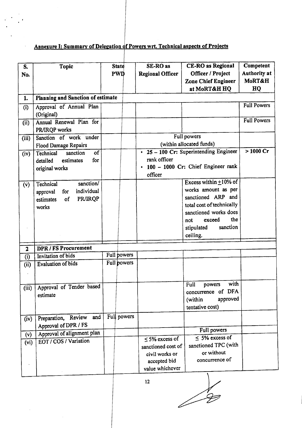# Annexure I: Summary of Delegation of Powers wrt. Technical aspects of Projects

| SE-RO as<br><b>Topic</b><br><b>State</b><br>S.                                                          | Competent<br><b>CE-RO</b> as Regional    |
|---------------------------------------------------------------------------------------------------------|------------------------------------------|
| <b>PWD</b><br><b>Regional Officer</b><br>No.                                                            | <b>Authority at</b><br>Officer / Project |
|                                                                                                         | MoRT&H<br><b>Zone Chief Engineer</b>     |
|                                                                                                         | at MoRT&H HQ<br>HQ                       |
| Planning and Sanction of estimate<br>1.                                                                 |                                          |
| Approval of Annual Plan<br>(i)                                                                          | <b>Full Powers</b>                       |
| (Original)                                                                                              |                                          |
| Annual Renewal Plan for<br>(i)                                                                          | <b>Full Powers</b>                       |
| PR/IRQP works                                                                                           |                                          |
| Full powers<br>Sanction of work under<br>(iii)                                                          |                                          |
| (within allocated funds)<br><b>Flood Damage Repairs</b><br>$\cdot$ 25 - 100 Cr: Superintending Engineer | $>1000$ Cr                               |
| $\overline{of}$<br>sanction<br>Technical<br>(iv)<br>rank officer<br>for                                 |                                          |
| estimates<br>detailed<br>100 - 1000 Cr: Chief Engineer rank                                             |                                          |
| original works<br>officer                                                                               |                                          |
| sanction/<br>Technical                                                                                  | Excess within $\pm 10\%$ of              |
| (v)<br>individual<br>approval<br>for                                                                    | works amount as per                      |
| PR/IRQP<br>of<br>estimates                                                                              | sanctioned ARP and                       |
| works                                                                                                   | total cost of technically                |
|                                                                                                         | sanctioned works does                    |
| not                                                                                                     | the<br>exceed                            |
| stipulated                                                                                              | sanction                                 |
| ceiling.                                                                                                |                                          |
| <b>DPR/FS Procurement</b><br>$\overline{\mathbf{2}}$                                                    |                                          |
| Full powers<br><b>Invitation</b> of bids<br>(i)                                                         |                                          |
| Full powers<br><b>Evaluation of bids</b><br>(ii)                                                        |                                          |
|                                                                                                         |                                          |
|                                                                                                         |                                          |
| Full<br>(iii) Approval of Tender based                                                                  | with<br>powers                           |
| concurrence<br>estimate                                                                                 | of DFA                                   |
| (within                                                                                                 | approved                                 |
| tentative cost)                                                                                         |                                          |
| Full powers<br>and<br>Preparation, Review<br>(iv)                                                       |                                          |
| Approval of DPR / FS                                                                                    | Full powers                              |
| Approval of alignment plan<br>(v)                                                                       | $\leq$ 5% excess of                      |
| $\leq$ 5% excess of<br>EOT / COS / Variation<br>(vi)<br>sanctioned cost of                              | sanctioned TPC (with                     |
| civil works or                                                                                          | or without                               |
|                                                                                                         |                                          |
| accepted bid                                                                                            | concurrence of                           |

 $\sqrt{\frac{2}{5}}$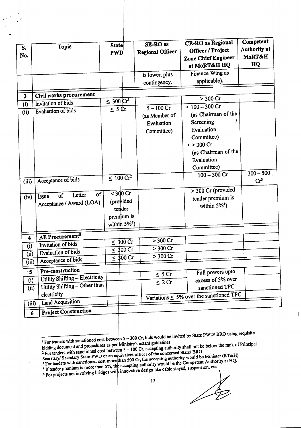|                         |                                          |                           |                             | <b>SE-RO</b> as         | <b>CE-RO</b> as Regional                      | Competent             |
|-------------------------|------------------------------------------|---------------------------|-----------------------------|-------------------------|-----------------------------------------------|-----------------------|
| S.                      | Topic                                    | <b>State</b>              |                             |                         | Officer / Project                             | <b>Authority at</b>   |
| No.                     |                                          | <b>PWD</b>                |                             | <b>Regional Officer</b> | <b>Zone Chief Engineer</b>                    | MoRT&H                |
|                         |                                          |                           |                             |                         | at MoRT&H HQ                                  | HQ                    |
|                         |                                          |                           |                             |                         | Finance Wing as                               |                       |
|                         |                                          |                           |                             | is lower, plus          |                                               |                       |
|                         |                                          |                           |                             | contingency.            | applicable).                                  |                       |
|                         | Civil works procurement                  |                           |                             |                         |                                               |                       |
| $\overline{\mathbf{3}}$ | Invitation of bids                       | $\leq 300 \, \text{Cr}^1$ |                             |                         | > 300 Cr                                      |                       |
| (i)                     | Evaluation of bids                       | $\overline{\le}$ 5 Cr     |                             | $5 - 100$ Cr            | • $100 - 300$ Cr                              |                       |
| (i)                     |                                          |                           |                             | (as Member of           | (as Chairman of the                           |                       |
|                         |                                          |                           |                             | Evaluation              | Screening                                     |                       |
|                         |                                          |                           |                             | Committee)              | Evaluation                                    |                       |
|                         |                                          |                           |                             |                         | Committee)                                    |                       |
|                         |                                          |                           |                             |                         | $\cdot$ > 300 Cr                              |                       |
|                         |                                          |                           |                             |                         | (as Chairman of the                           |                       |
|                         |                                          |                           |                             |                         | Evaluation                                    |                       |
|                         |                                          |                           |                             |                         | Committee)                                    |                       |
|                         |                                          |                           |                             |                         | $100 - 300$ Cr                                | $\frac{1}{300 - 500}$ |
| (iii)                   | Acceptance of bids                       | $\leq 100 \text{ Cr}^2$   |                             |                         |                                               | Cr <sup>3</sup>       |
|                         |                                          |                           |                             |                         | > 300 Cr (provided                            |                       |
| (iv)                    | $\alpha$<br>Letter<br>of<br><b>Issue</b> |                           | $<$ 300 Cr                  |                         | tender premium is                             |                       |
|                         | Acceptance / Award (LOA)                 |                           | (provided                   |                         | within $5\%^4$ )                              |                       |
|                         |                                          |                           | tender                      |                         |                                               |                       |
|                         |                                          |                           | premium is                  |                         |                                               |                       |
|                         |                                          |                           | within $5\%$ <sup>4</sup> ) |                         |                                               |                       |
|                         |                                          |                           |                             |                         |                                               |                       |
| 4                       | AE Procurement <sup>5</sup>              |                           | $\leq 300$ Cr               | > 300 Cr                |                                               |                       |
| (i)                     | Invitation of bids                       | $\leq$                    | 300 Cr                      | $> 300$ Cr              |                                               |                       |
| (ii)                    | <b>Evaluation of bids</b>                | $\leq$                    | $300$ Cr                    | $> 300$ Cr              |                                               |                       |
| (iii)                   | Acceptance of bids                       |                           |                             |                         |                                               |                       |
| 5                       | Pre-construction                         |                           |                             | $\sqrt{\frac{1}{5}$ SCr | Full powers upto                              |                       |
| (i)                     | Utility Shifting - Electricity           |                           |                             |                         | excess of 5% over                             |                       |
|                         | Utility Shifting - Other than<br>(i)     |                           |                             | $\overline{\leq} 2$ Cr  | sanctioned TPC                                |                       |
|                         | electricity                              |                           |                             |                         | Variations $\leq 5\%$ over the sanctioned TPC |                       |
| (iii)                   | <b>Land Acquisition</b>                  |                           |                             |                         |                                               |                       |
|                         | Project Construction                     |                           |                             |                         |                                               |                       |
|                         | $6\phantom{1}$                           |                           |                             |                         |                                               |                       |

IF The tenders with sanctioned cost between 5 – 300 Cr, bids would be invited by State PWDI BRO using requisite<br>If  $\frac{1}{2}$  is the cost of Definition is extant outdelines

 $4$  If tender premium is more than 5%, the accuration For tenders will called more than 5%, the accepting authority would be the compound.<br>If tender premium is more than 5%, the accepting authority would be the compound, etc of the stayed, suspension, etc

,  $\mathbf{v} = \begin{bmatrix} 1 & 1 \\ 1 & 1 \end{bmatrix}$ .

 $\sqrt{}$ 

 $\sqrt{\phi}$ 

bidding document and procedures as per Ministry's extant guidelines  $2 \text{ For tenders with sanctioned cost between } 3$  $\frac{100}{100}$  Cr, accepting authority shall not be below the rank of principal

Secretary/ Secretary State PWD or an equivalent officer of the concerned State/ BRO<br>Secretary/ Secretary State PWD or an equivalent officer of the accenting authority would be  $500 \text{ Cr}$  the accepting authority would be Minister (RT&H)

 $\frac{3}{2}$  For tenders with sanctioned cost more  $\mu$ nan epting authority would be the Competent Authority at HQ.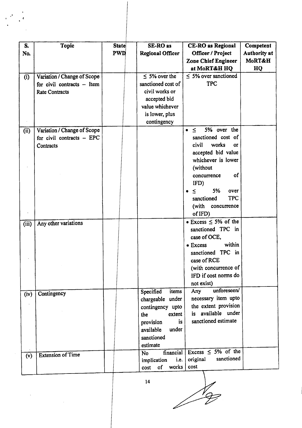| S.    | <b>Topic</b>                 | <b>State</b> | SE-RO as                | <b>CE-RO</b> as Regional           | Competent           |
|-------|------------------------------|--------------|-------------------------|------------------------------------|---------------------|
| No.   |                              | <b>PWD</b>   | <b>Regional Officer</b> | Officer / Project                  | <b>Authority at</b> |
|       |                              |              |                         | <b>Zone Chief Engineer</b>         | MoRT&H              |
|       |                              |              |                         | at MoRT&H HQ                       | HQ                  |
| (i)   | Variation / Change of Scope  |              | $\leq$ 5% over the      | $\leq$ 5% over sanctioned          |                     |
|       | for civil contracts $-$ Item |              | sanctioned cost of      | <b>TPC</b>                         |                     |
|       | <b>Rate Contracts</b>        |              | civil works or          |                                    |                     |
|       |                              |              | accepted bid            |                                    |                     |
|       |                              |              | value whichever         |                                    |                     |
|       |                              |              | is lower, plus          |                                    |                     |
|       |                              |              | contingency             |                                    |                     |
| (i)   | Variation / Change of Scope  |              |                         | 5% over the<br>$\leq$<br>$\bullet$ |                     |
|       | for civil contracts - EPC    |              |                         | sanctioned cost of                 |                     |
|       | Contracts                    |              |                         | civil<br>works<br><b>OF</b>        |                     |
|       |                              |              |                         | accepted bid value                 |                     |
|       |                              |              |                         | whichever is lower                 |                     |
|       |                              |              |                         | (without                           |                     |
|       |                              |              |                         | of<br>concurrence                  |                     |
|       |                              |              |                         | IFD)                               |                     |
|       |                              |              |                         | 5%<br>over<br>$\leq$               |                     |
|       |                              |              |                         | <b>TPC</b><br>sanctioned           |                     |
|       |                              |              |                         | (with<br>concurrence               |                     |
|       |                              |              |                         | of IFD)                            |                     |
| (iii) | Any other variations         |              |                         | $\bullet$ Excess $\leq$ 5% of the  |                     |
|       |                              |              |                         | sanctioned TPC in                  |                     |
|       |                              |              |                         | case of OCE,                       |                     |
|       |                              |              |                         | within<br>• Excess                 |                     |
|       |                              |              |                         | sanctioned TPC in                  |                     |
|       |                              |              |                         | case of RCE                        |                     |
|       |                              |              |                         | (with concurrence of               |                     |
|       |                              |              |                         | IFD if cost norms do               |                     |
|       |                              |              |                         | not exist)                         |                     |
| (iv)  | Contingency                  |              | Specified<br>items      | unforeseen/<br>Any                 |                     |
|       |                              |              | chargeable under        | necessary item upto                |                     |
|       |                              |              | contingency upto        | the extent provision               |                     |
|       |                              |              | extent<br>the           | is available under                 |                     |
|       |                              |              | is<br>provision         | sanctioned estimate                |                     |
|       |                              |              | under<br>available      |                                    |                     |
|       |                              |              | sanctioned              |                                    |                     |
|       |                              |              | estimate                |                                    |                     |
| (v)   | <b>Extension of Time</b>     |              | financial<br><b>No</b>  | Excess $\leq$ 5% of the            |                     |
|       |                              |              | i.e.<br>implication     | sanctioned<br>original             |                     |
|       |                              |              | works<br>cost of        | cost                               |                     |
|       |                              |              |                         |                                    |                     |

..

14

I